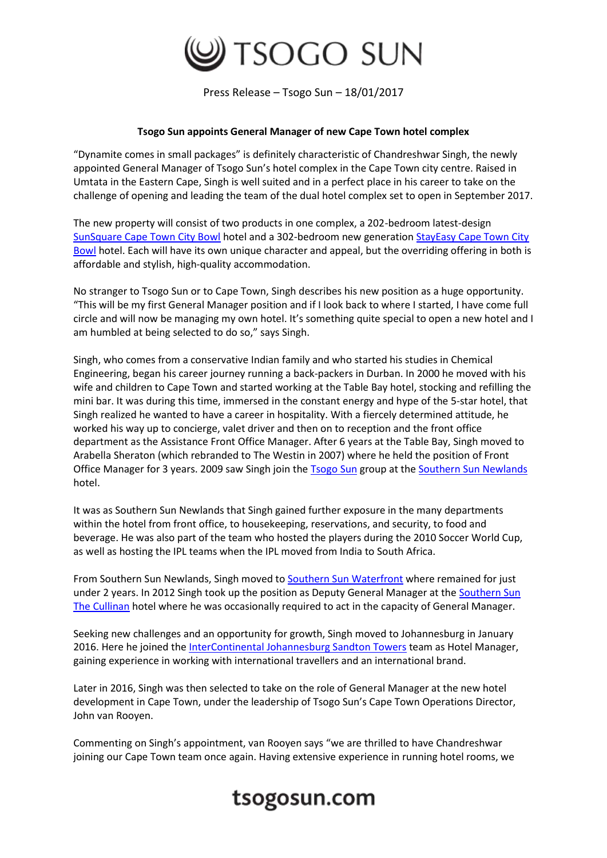

Press Release – Tsogo Sun – 18/01/2017

## **Tsogo Sun appoints General Manager of new Cape Town hotel complex**

"Dynamite comes in small packages" is definitely characteristic of Chandreshwar Singh, the newly appointed General Manager of Tsogo Sun's hotel complex in the Cape Town city centre. Raised in Umtata in the Eastern Cape, Singh is well suited and in a perfect place in his career to take on the challenge of opening and leading the team of the dual hotel complex set to open in September 2017.

The new property will consist of two products in one complex, a 202-bedroom latest-design [SunSquare Cape Town City Bowl](https://www.tsogosun.com/sunsquare-cape-town-city-bowl) hotel and a 302-bedroom new generation [StayEasy Cape Town City](https://www.tsogosun.com/stayeasy-cape-town-city-bowl)  [Bowl](https://www.tsogosun.com/stayeasy-cape-town-city-bowl) hotel. Each will have its own unique character and appeal, but the overriding offering in both is affordable and stylish, high-quality accommodation.

No stranger to Tsogo Sun or to Cape Town, Singh describes his new position as a huge opportunity. "This will be my first General Manager position and if I look back to where I started, I have come full circle and will now be managing my own hotel. It's something quite special to open a new hotel and I am humbled at being selected to do so," says Singh.

Singh, who comes from a conservative Indian family and who started his studies in Chemical Engineering, began his career journey running a back-packers in Durban. In 2000 he moved with his wife and children to Cape Town and started working at the Table Bay hotel, stocking and refilling the mini bar. It was during this time, immersed in the constant energy and hype of the 5-star hotel, that Singh realized he wanted to have a career in hospitality. With a fiercely determined attitude, he worked his way up to concierge, valet driver and then on to reception and the front office department as the Assistance Front Office Manager. After 6 years at the Table Bay, Singh moved to Arabella Sheraton (which rebranded to The Westin in 2007) where he held the position of Front Office Manager for 3 years. 2009 saw Singh join the **Tsogo Sun** group at the [Southern Sun Newlands](https://www.tsogosun.com/southern-sun-newlands) hotel.

It was as Southern Sun Newlands that Singh gained further exposure in the many departments within the hotel from front office, to housekeeping, reservations, and security, to food and beverage. He was also part of the team who hosted the players during the 2010 Soccer World Cup, as well as hosting the IPL teams when the IPL moved from India to South Africa.

From Southern Sun Newlands, Singh moved to [Southern Sun Waterfront](https://www.tsogosun.com/southern-sun-waterfront-cape-town) where remained for just under 2 years. In 2012 Singh took up the position as Deputy General Manager at the [Southern Sun](https://www.tsogosun.com/the-cullinan)  [The Cullinan](https://www.tsogosun.com/the-cullinan) hotel where he was occasionally required to act in the capacity of General Manager.

Seeking new challenges and an opportunity for growth, Singh moved to Johannesburg in January 2016. Here he joined the [InterContinental Johannesburg Sandton Towers](https://www.tsogosun.com/intercontinental-johannesburg-sandton-towers) team as Hotel Manager, gaining experience in working with international travellers and an international brand.

Later in 2016, Singh was then selected to take on the role of General Manager at the new hotel development in Cape Town, under the leadership of Tsogo Sun's Cape Town Operations Director, John van Rooyen.

Commenting on Singh's appointment, van Rooyen says "we are thrilled to have Chandreshwar joining our Cape Town team once again. Having extensive experience in running hotel rooms, we

## tsogosun.com